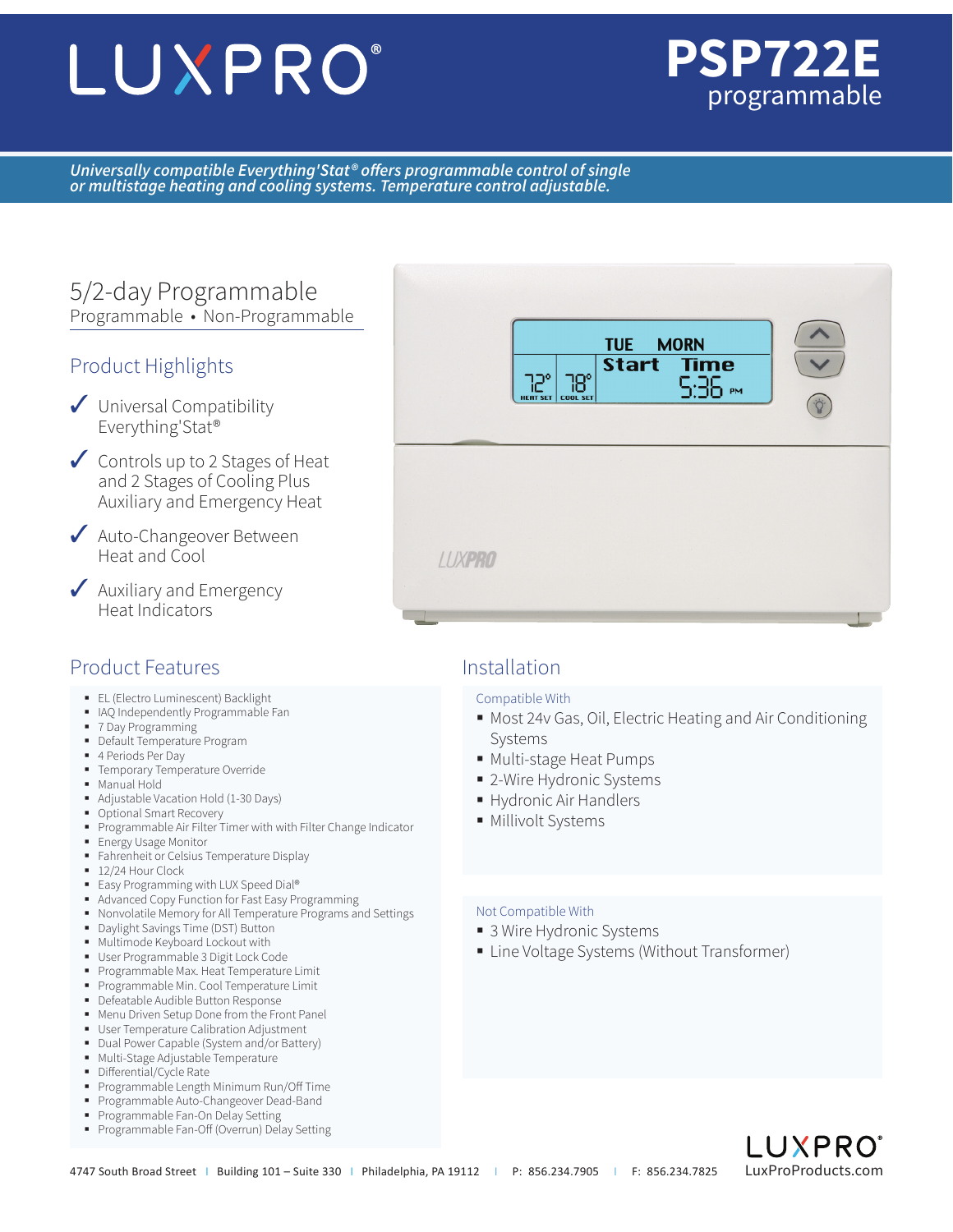# LUXPRO®



*Universally compatible Everything'Stat® offers programmable control of single or multistage heating and cooling systems. Temperature control adjustable.*

# 5/2-day Programmable Programmable • Non-Programmable

### Product Highlights

- ✓ Universal Compatibility Everything'Stat®
- ✓ Controls up to 2 Stages of Heat and 2 Stages of Cooling Plus Auxiliary and Emergency Heat
- ◆ Auto-Changeover Between Heat and Cool
- ◆ Auxiliary and Emergency Heat Indicators

# Product Features and a linear and linear linear linear linear linear linear linear linear linear linear linear

- **EL (Electro Luminescent) Backlight**
- IAQ Independently Programmable Fan
- 7 Day Programming
- Default Temperature Program
- 4 Periods Per Day
- **Temporary Temperature Override**
- Manual Hold
- Adjustable Vacation Hold (1-30 Days)
- **Optional Smart Recovery**
- Programmable Air Filter Timer with with Filter Change Indicator
- **Energy Usage Monitor**
- **Fahrenheit or Celsius Temperature Display**
- 12/24 Hour Clock
- Easy Programming with LUX Speed Dial®
- Advanced Copy Function for Fast Easy Programming
- Nonvolatile Memory for All Temperature Programs and Settings
- Daylight Savings Time (DST) Button
- Multimode Keyboard Lockout with
- User Programmable 3 Digit Lock Code
- Programmable Max. Heat Temperature Limit
- Programmable Min. Cool Temperature Limit **-** Defeatable Audible Button Response
- Menu Driven Setup Done from the Front Panel
- **User Temperature Calibration Adjustment**
- Dual Power Capable (System and/or Battery)
- **Multi-Stage Adjustable Temperature**
- **Differential/Cycle Rate**
- Programmable Length Minimum Run/Off Time
- Programmable Auto-Changeover Dead-Band
- **Programmable Fan-On Delay Setting**
- **Programmable Fan-Off (Overrun) Delay Setting**



### Compatible With

- Most 24v Gas, Oil, Electric Heating and Air Conditioning Systems
- Multi-stage Heat Pumps
- 2-Wire Hydronic Systems
- Hydronic Air Handlers
- **Millivolt Systems**

### Not Compatible With

- 3 Wire Hydronic Systems
- Line Voltage Systems (Without Transformer)